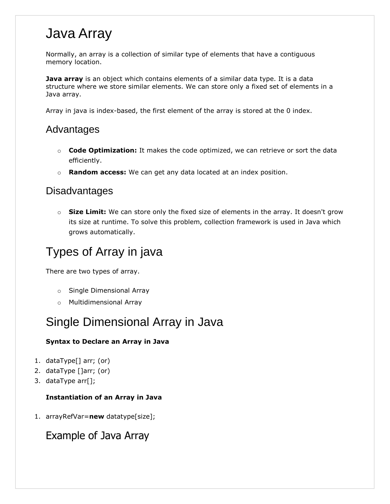## Java Array

Normally, an array is a collection of similar type of elements that have a contiguous memory location.

**Java array** is an object which contains elements of a similar data type. It is a data structure where we store similar elements. We can store only a fixed set of elements in a Java array.

Array in java is index-based, the first element of the array is stored at the 0 index.

#### Advantages

- o **Code Optimization:** It makes the code optimized, we can retrieve or sort the data efficiently.
- o **Random access:** We can get any data located at an index position.

#### **Disadvantages**

o **Size Limit:** We can store only the fixed size of elements in the array. It doesn't grow its size at runtime. To solve this problem, collection framework is used in Java which grows automatically.

### Types of Array in java

There are two types of array.

- o Single Dimensional Array
- o Multidimensional Array

### Single Dimensional Array in Java

#### **Syntax to Declare an Array in Java**

- 1. dataType[] arr; (or)
- 2. dataType []arr; (or)
- 3. dataType arr[];

#### **Instantiation of an Array in Java**

1. arrayRefVar=**new** datatype[size];

Example of Java Array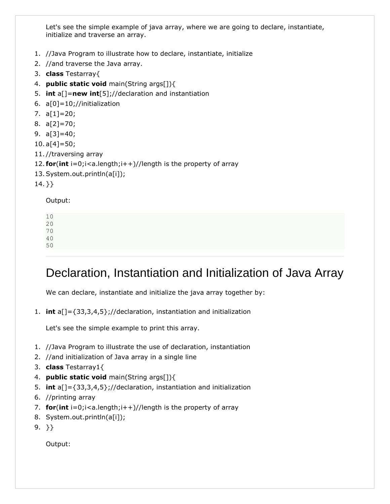Let's see the simple example of java array, where we are going to declare, instantiate, initialize and traverse an array.

- 1. //Java Program to illustrate how to declare, instantiate, initialize
- 2. //and traverse the Java array.
- 3. **class** Testarray{
- 4. **public static void** main(String args[]){
- 5. **int** a[]=**new int**[5];//declaration and instantiation
- 6. a[0]=10;//initialization
- 7. a[1]=20;
- 8. a[2]=70;
- 9. a[3]=40;
- $10. a[4] = 50;$
- 11. //traversing array
- 12. **for**(**int** i=0;i<a.length;i++)//length is the property of array
- 13.System.out.println(a[i]);
- 14. }}

Output:

50

### Declaration, Instantiation and Initialization of Java Array

We can declare, instantiate and initialize the java array together by:

1. **int** a[]={33,3,4,5};//declaration, instantiation and initialization

Let's see the simple example to print this array.

- 1. //Java Program to illustrate the use of declaration, instantiation
- 2. //and initialization of Java array in a single line
- 3. **class** Testarray1{
- 4. **public static void** main(String args[]){
- 5. **int** a[]={33,3,4,5};//declaration, instantiation and initialization
- 6. //printing array
- 7. **for**(**int** i=0;i<a.length;i++)//length is the property of array
- 8. System.out.println(a[i]);

```
9. }}
```
Output: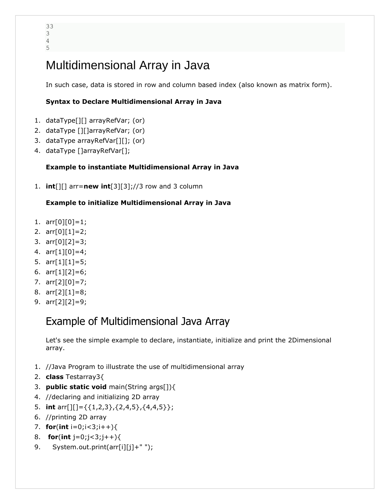### Multidimensional Array in Java

In such case, data is stored in row and column based index (also known as matrix form).

#### **Syntax to Declare Multidimensional Array in Java**

- 1. dataType[][] arrayRefVar; (or)
- 2. dataType [][]arrayRefVar; (or)
- 3. dataType arrayRefVar[][]; (or)
- 4. dataType []arrayRefVar[];

#### **Example to instantiate Multidimensional Array in Java**

1. **int**[][] arr=**new int**[3][3];//3 row and 3 column

#### **Example to initialize Multidimensional Array in Java**

- 1. arr[0][0]=1;
- 2. arr[0][1]=2;
- 3. arr[0][2]=3;
- 4. arr[1][0]=4;
- 5. arr[1][1]=5;
- 6. arr[1][2]=6;
- 7. arr[2][0]=7;
- 8. arr[2][1]=8;
- 9. arr[2][2]=9;

#### Example of Multidimensional Java Array

Let's see the simple example to declare, instantiate, initialize and print the 2Dimensional array.

- 1. //Java Program to illustrate the use of multidimensional array
- 2. **class** Testarray3{
- 3. **public static void** main(String args[]){
- 4. //declaring and initializing 2D array
- 5. **int** arr[][]={{1,2,3},{2,4,5},{4,4,5}};
- 6. //printing 2D array
- 7. **for**(**int** i=0;i<3;i++){
- 8. **for**(**int** j=0;j<3;j++){
- 9. System.out.print(arr[i][j]+" ");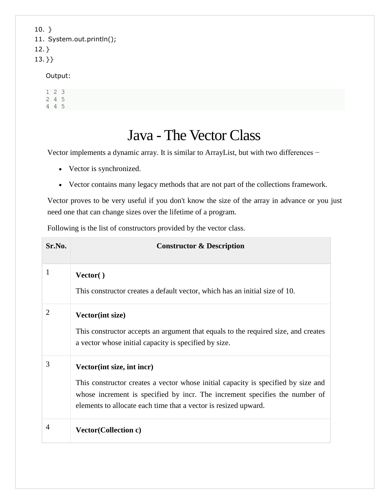10. } 11. System.out.println();  $12.$ } 13. }}

#### Output:

1 2 3 2 4 5 4 4 5

## Java - The Vector Class

Vector implements a dynamic array. It is similar to ArrayList, but with two differences −

- Vector is synchronized.
- Vector contains many legacy methods that are not part of the collections framework.

Vector proves to be very useful if you don't know the size of the array in advance or you just need one that can change sizes over the lifetime of a program.

Following is the list of constructors provided by the vector class.

| Sr.No.         | <b>Constructor &amp; Description</b>                                                                                                                                                                                                                              |
|----------------|-------------------------------------------------------------------------------------------------------------------------------------------------------------------------------------------------------------------------------------------------------------------|
| 1              | Vector()<br>This constructor creates a default vector, which has an initial size of 10.                                                                                                                                                                           |
| $\overline{2}$ | <b>Vector(int size)</b><br>This constructor accepts an argument that equals to the required size, and creates<br>a vector whose initial capacity is specified by size.                                                                                            |
| 3              | Vector(int size, int incr)<br>This constructor creates a vector whose initial capacity is specified by size and<br>whose increment is specified by incr. The increment specifies the number of<br>elements to allocate each time that a vector is resized upward. |
| 4              | <b>Vector(Collection c)</b>                                                                                                                                                                                                                                       |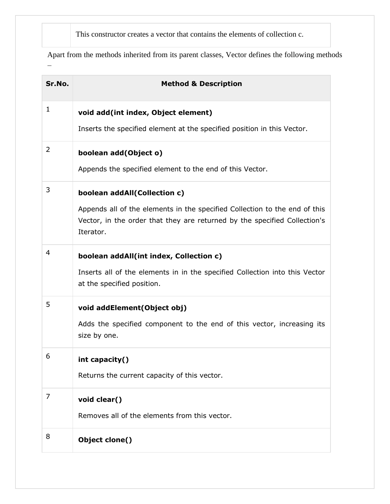This constructor creates a vector that contains the elements of collection c.

Apart from the methods inherited from its parent classes, Vector defines the following methods −

| Sr.No.      | <b>Method &amp; Description</b>                                                                                                                                      |
|-------------|----------------------------------------------------------------------------------------------------------------------------------------------------------------------|
| $\mathbf 1$ | void add(int index, Object element)                                                                                                                                  |
|             | Inserts the specified element at the specified position in this Vector.                                                                                              |
| 2           | boolean add(Object o)                                                                                                                                                |
|             | Appends the specified element to the end of this Vector.                                                                                                             |
| 3           | boolean addAll(Collection c)                                                                                                                                         |
|             | Appends all of the elements in the specified Collection to the end of this<br>Vector, in the order that they are returned by the specified Collection's<br>Iterator. |
| 4           | boolean addAll(int index, Collection c)                                                                                                                              |
|             | Inserts all of the elements in in the specified Collection into this Vector<br>at the specified position.                                                            |
| 5           | void addElement(Object obj)                                                                                                                                          |
|             | Adds the specified component to the end of this vector, increasing its<br>size by one.                                                                               |
| 6           | int capacity()                                                                                                                                                       |
|             | Returns the current capacity of this vector.                                                                                                                         |
| 7           | void clear()                                                                                                                                                         |
|             | Removes all of the elements from this vector.                                                                                                                        |
| 8           | Object clone()                                                                                                                                                       |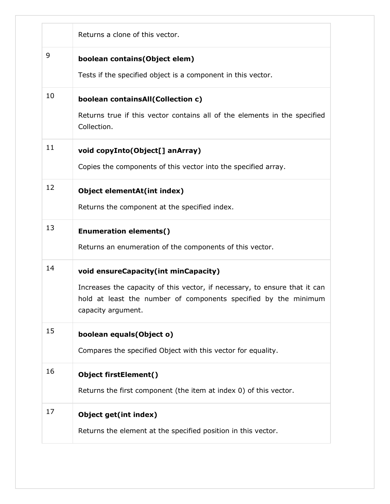|    | Returns a clone of this vector.                                                                                                                                                                             |
|----|-------------------------------------------------------------------------------------------------------------------------------------------------------------------------------------------------------------|
| 9  | boolean contains (Object elem)<br>Tests if the specified object is a component in this vector.                                                                                                              |
| 10 | boolean containsAll(Collection c)<br>Returns true if this vector contains all of the elements in the specified<br>Collection.                                                                               |
| 11 | void copyInto(Object[] anArray)<br>Copies the components of this vector into the specified array.                                                                                                           |
| 12 | Object elementAt(int index)<br>Returns the component at the specified index.                                                                                                                                |
| 13 | <b>Enumeration elements()</b><br>Returns an enumeration of the components of this vector.                                                                                                                   |
| 14 | void ensureCapacity(int minCapacity)<br>Increases the capacity of this vector, if necessary, to ensure that it can<br>hold at least the number of components specified by the minimum<br>capacity argument. |
| 15 | boolean equals(Object o)<br>Compares the specified Object with this vector for equality.                                                                                                                    |
| 16 | <b>Object firstElement()</b><br>Returns the first component (the item at index 0) of this vector.                                                                                                           |
| 17 | Object get(int index)<br>Returns the element at the specified position in this vector.                                                                                                                      |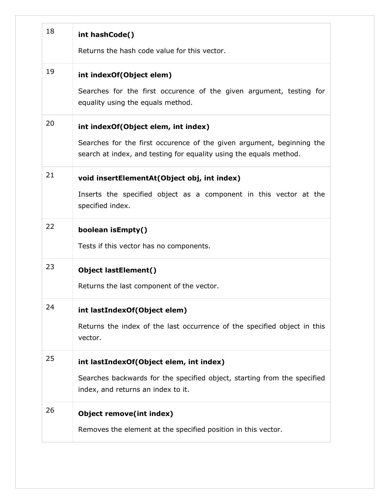| 18 | int hashCode()<br>Returns the hash code value for this vector.                                                                                                                     |
|----|------------------------------------------------------------------------------------------------------------------------------------------------------------------------------------|
| 19 | int indexOf(Object elem)<br>Searches for the first occurence of the given argument, testing for<br>equality using the equals method.                                               |
| 20 | int indexOf(Object elem, int index)<br>Searches for the first occurence of the given argument, beginning the<br>search at index, and testing for equality using the equals method. |
| 21 | void insertElementAt(Object obj, int index)<br>Inserts the specified object as a component in this vector at the<br>specified index.                                               |
| 22 | boolean isEmpty()<br>Tests if this vector has no components.                                                                                                                       |
| 23 | <b>Object lastElement()</b><br>Returns the last component of the vector.                                                                                                           |
| 24 | int lastIndexOf(Object elem)<br>Returns the index of the last occurrence of the specified object in this<br>vector.                                                                |
| 25 | int lastIndexOf(Object elem, int index)<br>Searches backwards for the specified object, starting from the specified<br>index, and returns an index to it.                          |
| 26 | Object remove(int index)<br>Removes the element at the specified position in this vector.                                                                                          |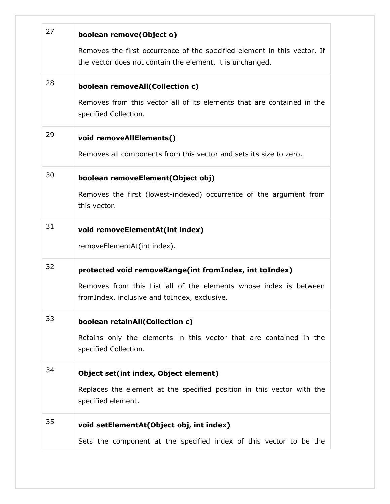| 27 | boolean remove(Object o)<br>Removes the first occurrence of the specified element in this vector, If<br>the vector does not contain the element, it is unchanged.           |
|----|-----------------------------------------------------------------------------------------------------------------------------------------------------------------------------|
| 28 | boolean removeAll(Collection c)<br>Removes from this vector all of its elements that are contained in the<br>specified Collection.                                          |
| 29 | void removeAllElements()<br>Removes all components from this vector and sets its size to zero.                                                                              |
| 30 | boolean removeElement(Object obj)<br>Removes the first (lowest-indexed) occurrence of the argument from<br>this vector.                                                     |
| 31 | void removeElementAt(int index)<br>removeElementAt(int index).                                                                                                              |
| 32 | protected void removeRange(int fromIndex, int toIndex)<br>Removes from this List all of the elements whose index is between<br>fromIndex, inclusive and toIndex, exclusive. |
| 33 | boolean retainAll(Collection c)<br>Retains only the elements in this vector that are contained in the<br>specified Collection.                                              |
| 34 | Object set(int index, Object element)<br>Replaces the element at the specified position in this vector with the<br>specified element.                                       |
| 35 | void setElementAt(Object obj, int index)<br>Sets the component at the specified index of this vector to be the                                                              |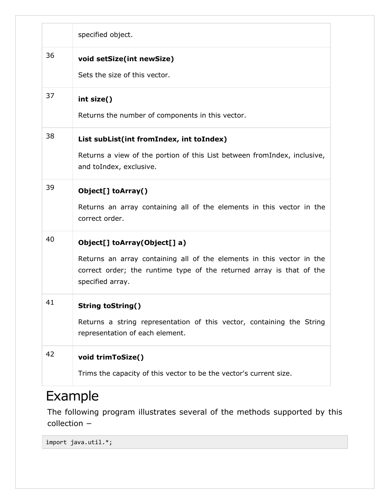|    | specified object.                                                                                                                                                                                 |
|----|---------------------------------------------------------------------------------------------------------------------------------------------------------------------------------------------------|
| 36 | void setSize(int newSize)<br>Sets the size of this vector.                                                                                                                                        |
| 37 | int size()<br>Returns the number of components in this vector.                                                                                                                                    |
| 38 | List subList(int fromIndex, int toIndex)<br>Returns a view of the portion of this List between fromIndex, inclusive,<br>and toIndex, exclusive.                                                   |
| 39 | Object[] toArray()<br>Returns an array containing all of the elements in this vector in the<br>correct order.                                                                                     |
| 40 | Object[] toArray(Object[] a)<br>Returns an array containing all of the elements in this vector in the<br>correct order; the runtime type of the returned array is that of the<br>specified array. |
| 41 | <b>String toString()</b><br>Returns a string representation of this vector, containing the String<br>representation of each element.                                                              |
| 42 | void trimToSize()<br>Trims the capacity of this vector to be the vector's current size.                                                                                                           |

## Example

The following program illustrates several of the methods supported by this collection −

import java.util.\*;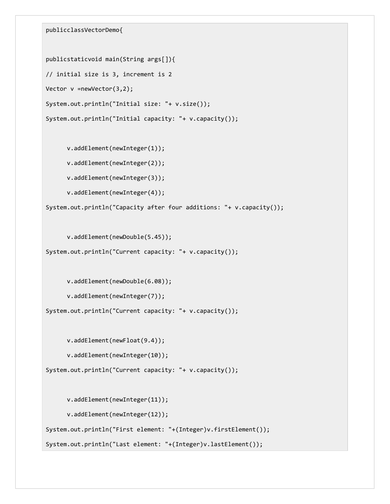publicclassVectorDemo{

```
publicstaticvoid main(String args[]){
// initial size is 3, increment is 2
Vector v =newVector(3,2);
System.out.println("Initial size: "+ v.size());
System.out.println("Initial capacity: "+ v.capacity());
```
v.addElement(newInteger(1));

v.addElement(newInteger(2));

v.addElement(newInteger(3));

v.addElement(newInteger(4));

System.out.println("Capacity after four additions: "+ v.capacity());

v.addElement(newDouble(5.45));

```
System.out.println("Current capacity: "+ v.capacity());
```
v.addElement(newDouble(6.08));

v.addElement(newInteger(7));

System.out.println("Current capacity: "+ v.capacity());

v.addElement(newFloat(9.4));

v.addElement(newInteger(10));

System.out.println("Current capacity: "+ v.capacity());

v.addElement(newInteger(11));

v.addElement(newInteger(12));

System.out.println("First element: "+(Integer)v.firstElement());

System.out.println("Last element: "+(Integer)v.lastElement());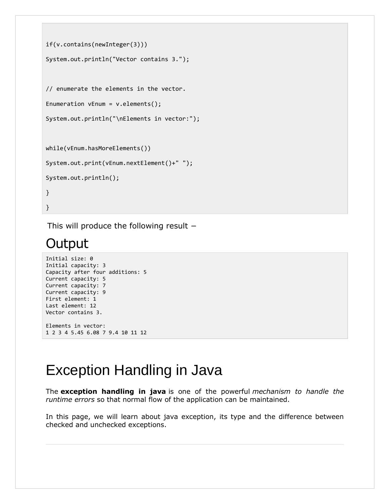```
if(v.contains(newInteger(3)))
System.out.println("Vector contains 3.");
// enumerate the elements in the vector.
Enumeration vEnum = v.elements();
System.out.println("\nElements in vector:");
while(vEnum.hasMoreElements())
System.out.print(vEnum.nextElement()+" ");
System.out.println();
}
}
```
This will produce the following result −

## **Output**

```
Initial size: 0
Initial capacity: 3
Capacity after four additions: 5
Current capacity: 5
Current capacity: 7
Current capacity: 9
First element: 1
Last element: 12
Vector contains 3.
Elements in vector:
1 2 3 4 5.45 6.08 7 9.4 10 11 12
```
# Exception Handling in Java

The **exception handling in java** is one of the powerful *mechanism to handle the runtime errors* so that normal flow of the application can be maintained.

In this page, we will learn about java exception, its type and the difference between checked and unchecked exceptions.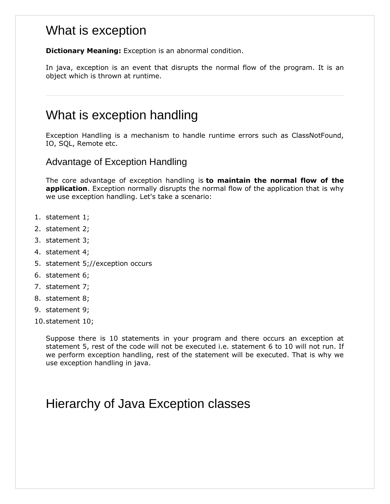#### What is exception

**Dictionary Meaning:** Exception is an abnormal condition.

In java, exception is an event that disrupts the normal flow of the program. It is an object which is thrown at runtime.

#### What is exception handling

Exception Handling is a mechanism to handle runtime errors such as ClassNotFound, IO, SQL, Remote etc.

Advantage of Exception Handling

The core advantage of exception handling is **to maintain the normal flow of the application**. Exception normally disrupts the normal flow of the application that is why we use exception handling. Let's take a scenario:

- 1. statement 1;
- 2. statement 2;
- 3. statement 3;
- 4. statement 4;
- 5. statement 5;//exception occurs
- 6. statement 6;
- 7. statement 7;
- 8. statement 8;
- 9. statement 9;
- 10.statement 10;

Suppose there is 10 statements in your program and there occurs an exception at statement 5, rest of the code will not be executed i.e. statement 6 to 10 will not run. If we perform exception handling, rest of the statement will be executed. That is why we use exception handling in java.

### Hierarchy of Java Exception classes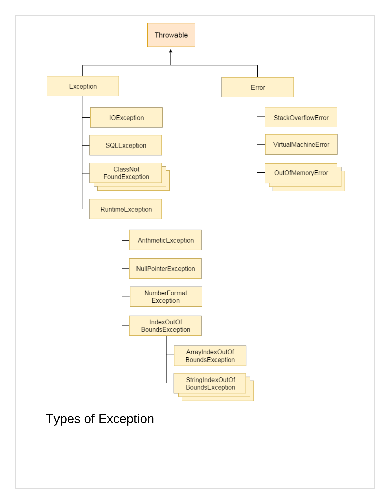

### Types of Exception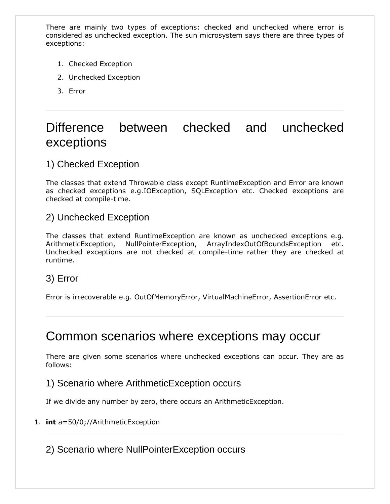There are mainly two types of exceptions: checked and unchecked where error is considered as unchecked exception. The sun microsystem says there are three types of exceptions:

- 1. Checked Exception
- 2. Unchecked Exception
- 3. Error

### Difference between checked and unchecked exceptions

#### 1) Checked Exception

The classes that extend Throwable class except RuntimeException and Error are known as checked exceptions e.g.IOException, SQLException etc. Checked exceptions are checked at compile-time.

#### 2) Unchecked Exception

The classes that extend RuntimeException are known as unchecked exceptions e.g. ArithmeticException, NullPointerException, ArrayIndexOutOfBoundsException etc. Unchecked exceptions are not checked at compile-time rather they are checked at runtime.

#### 3) Error

Error is irrecoverable e.g. OutOfMemoryError, VirtualMachineError, AssertionError etc.

#### Common scenarios where exceptions may occur

There are given some scenarios where unchecked exceptions can occur. They are as follows:

#### 1) Scenario where ArithmeticException occurs

If we divide any number by zero, there occurs an ArithmeticException.

#### 1. **int** a=50/0;//ArithmeticException

2) Scenario where NullPointerException occurs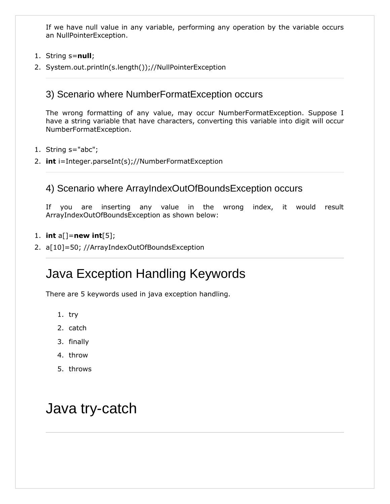If we have null value in any variable, performing any operation by the variable occurs an NullPointerException.

- 1. String s=**null**;
- 2. System.out.println(s.length());//NullPointerException

#### 3) Scenario where NumberFormatException occurs

The wrong formatting of any value, may occur NumberFormatException. Suppose I have a string variable that have characters, converting this variable into digit will occur NumberFormatException.

- 1. String s="abc";
- 2. **int** i=Integer.parseInt(s);//NumberFormatException

#### 4) Scenario where ArrayIndexOutOfBoundsException occurs

If you are inserting any value in the wrong index, it would result ArrayIndexOutOfBoundsException as shown below:

#### 1. **int** a[]=**new int**[5];

2. a[10]=50; //ArrayIndexOutOfBoundsException

### Java Exception Handling Keywords

There are 5 keywords used in java exception handling.

- 1. try
- 2. catch
- 3. finally
- 4. throw
- 5. throws

## Java try-catch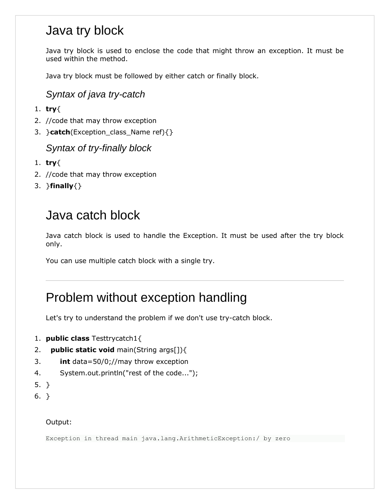### Java try block

Java try block is used to enclose the code that might throw an exception. It must be used within the method.

Java try block must be followed by either catch or finally block.

#### *Syntax of java try-catch*

- 1. **try**{
- 2. //code that may throw exception
- 3. }**catch**(Exception\_class\_Name ref){}

#### *Syntax of try-finally block*

- 1. **try**{
- 2. //code that may throw exception
- 3. }**finally**{}

### Java catch block

Java catch block is used to handle the Exception. It must be used after the try block only.

You can use multiple catch block with a single try.

### Problem without exception handling

Let's try to understand the problem if we don't use try-catch block.

- 1. **public class** Testtrycatch1{
- 2. **public static void** main(String args[]){
- 3. **int** data=50/0;//may throw exception
- 4. System.out.println("rest of the code...");
- 5. }
- 6. }

#### Output:

Exception in thread main java.lang.ArithmeticException:/ by zero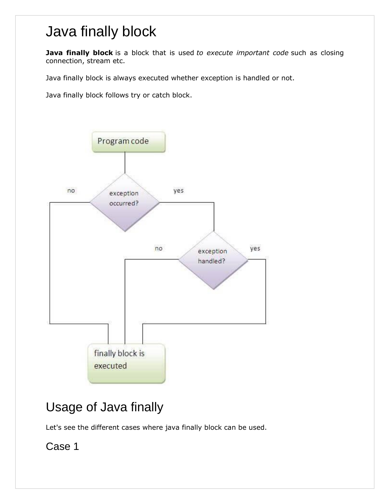# Java finally block

**Java finally block** is a block that is used *to execute important code* such as closing connection, stream etc.

Java finally block is always executed whether exception is handled or not.

Java finally block follows try or catch block.



## Usage of Java finally

Let's see the different cases where java finally block can be used.

Case 1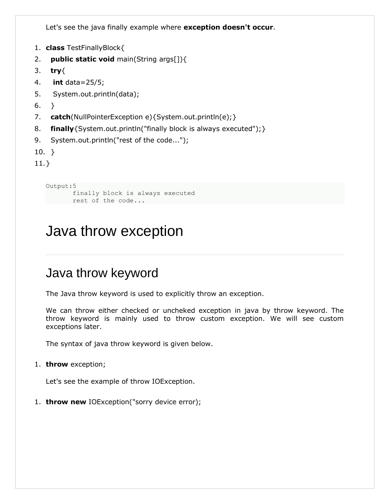Let's see the java finally example where **exception doesn't occur**.

```
1. class TestFinallyBlock{
```

```
2. public static void main(String args[]){
```
- 3. **try**{
- 4. **int** data=25/5;
- 5. System.out.println(data);
- 6. }
- 7. **catch**(NullPointerException e){System.out.println(e);}
- 8. **finally**{System.out.println("finally block is always executed");}
- 9. System.out.println("rest of the code...");
- 10. }

11.}

```
Output:5
       finally block is always executed
      rest of the code...
```
## Java throw exception

#### Java throw keyword

The Java throw keyword is used to explicitly throw an exception.

We can throw either checked or uncheked exception in java by throw keyword. The throw keyword is mainly used to throw custom exception. We will see custom exceptions later.

The syntax of java throw keyword is given below.

1. **throw** exception;

Let's see the example of throw IOException.

1. **throw new** IOException("sorry device error);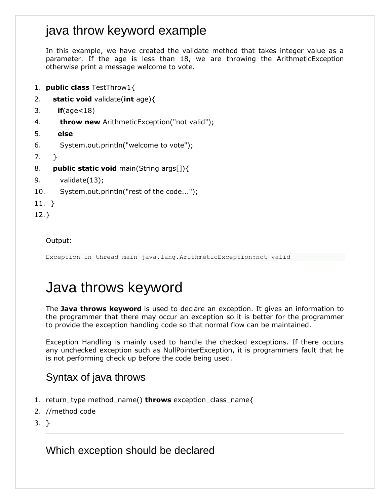#### java throw keyword example

In this example, we have created the validate method that takes integer value as a parameter. If the age is less than 18, we are throwing the ArithmeticException otherwise print a message welcome to vote.

- 1. **public class** TestThrow1{
- 2. **static void** validate(**int** age){
- 3. **if**(age<18)
- 4. **throw new** ArithmeticException("not valid");
- 5. **else**
- 6. System.out.println("welcome to vote");
- 7. }
- 8. **public static void** main(String args[]){
- 9. validate(13);
- 10. System.out.println("rest of the code...");
- 11. }
- 12.}

Output:

Exception in thread main java.lang.ArithmeticException:not valid

## Java throws keyword

The **Java throws keyword** is used to declare an exception. It gives an information to the programmer that there may occur an exception so it is better for the programmer to provide the exception handling code so that normal flow can be maintained.

Exception Handling is mainly used to handle the checked exceptions. If there occurs any unchecked exception such as NullPointerException, it is programmers fault that he is not performing check up before the code being used.

#### Syntax of java throws

- 1. return\_type method\_name() **throws** exception\_class\_name{
- 2. //method code
- 3. }

Which exception should be declared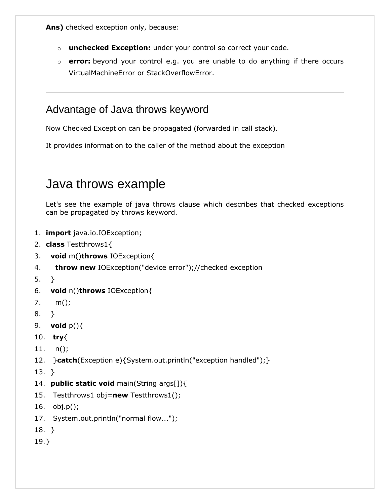**Ans)** checked exception only, because:

- o **unchecked Exception:** under your control so correct your code.
- o **error:** beyond your control e.g. you are unable to do anything if there occurs VirtualMachineError or StackOverflowError.

#### Advantage of Java throws keyword

Now Checked Exception can be propagated (forwarded in call stack).

It provides information to the caller of the method about the exception

### Java throws example

Let's see the example of java throws clause which describes that checked exceptions can be propagated by throws keyword.

- 1. **import** java.io.IOException;
- 2. **class** Testthrows1{
- 3. **void** m()**throws** IOException{
- 4. **throw new** IOException("device error");//checked exception
- 5. }
- 6. **void** n()**throws** IOException{
- 7. m();
- 8. }
- 9. **void** p(){
- 10. **try**{
- 11. n();
- 12. }**catch**(Exception e){System.out.println("exception handled");}
- 13. }
- 14. **public static void** main(String args[]){
- 15. Testthrows1 obj=**new** Testthrows1();
- 16. obj.p();
- 17. System.out.println("normal flow...");
- 18. }
- 19.}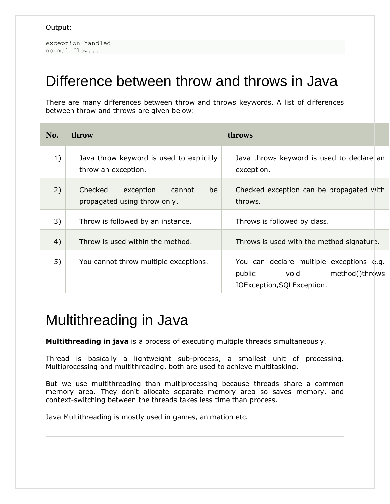exception handled normal flow...

## Difference between throw and throws in Java

There are many differences between throw and throws keywords. A list of differences between throw and throws are given below:

| No. | throw                                                                | throws                                                                                                     |
|-----|----------------------------------------------------------------------|------------------------------------------------------------------------------------------------------------|
| 1)  | Java throw keyword is used to explicitly<br>throw an exception.      | Java throws keyword is used to declare an<br>exception.                                                    |
| 2)  | Checked<br>exception<br>cannot<br>be<br>propagated using throw only. | Checked exception can be propagated with<br>throws.                                                        |
| 3)  | Throw is followed by an instance.                                    | Throws is followed by class.                                                                               |
| 4)  | Throw is used within the method.                                     | Throws is used with the method signature.                                                                  |
| 5)  | You cannot throw multiple exceptions.                                | You can declare multiple exceptions e.g.<br>method()throws<br>public<br>void<br>IOException, SQLException. |

## Multithreading in Java

**Multithreading in java** is a process of executing multiple threads simultaneously.

Thread is basically a lightweight sub-process, a smallest unit of processing. Multiprocessing and multithreading, both are used to achieve multitasking.

But we use multithreading than multiprocessing because threads share a common memory area. They don't allocate separate memory area so saves memory, and context-switching between the threads takes less time than process.

Java Multithreading is mostly used in games, animation etc.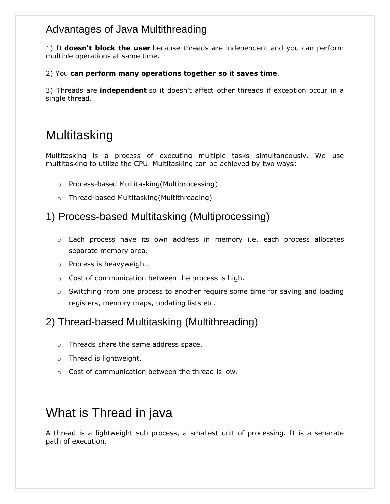#### Advantages of Java Multithreading

1) It **doesn't block the user** because threads are independent and you can perform multiple operations at same time.

2) You **can perform many operations together so it saves time**.

3) Threads are **independent** so it doesn't affect other threads if exception occur in a single thread.

## **Multitasking**

Multitasking is a process of executing multiple tasks simultaneously. We use multitasking to utilize the CPU. Multitasking can be achieved by two ways:

- o Process-based Multitasking(Multiprocessing)
- o Thread-based Multitasking(Multithreading)

#### 1) Process-based Multitasking (Multiprocessing)

- o Each process have its own address in memory i.e. each process allocates separate memory area.
- o Process is heavyweight.
- $\circ$  Cost of communication between the process is high.
- $\circ$  Switching from one process to another require some time for saving and loading registers, memory maps, updating lists etc.

#### 2) Thread-based Multitasking (Multithreading)

- o Threads share the same address space.
- o Thread is lightweight.
- o Cost of communication between the thread is low.

### What is Thread in java

A thread is a lightweight sub process, a smallest unit of processing. It is a separate path of execution.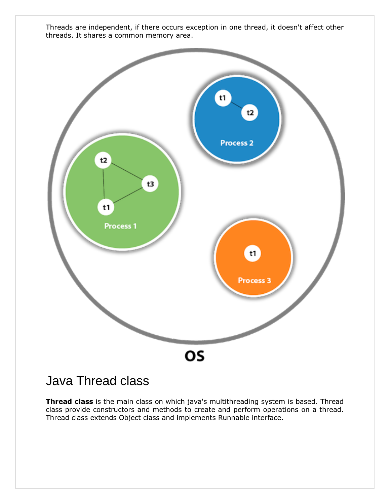



### Java Thread class

**Thread class** is the main class on which java's multithreading system is based. Thread class provide constructors and methods to create and perform operations on a thread. Thread class extends Object class and implements Runnable interface.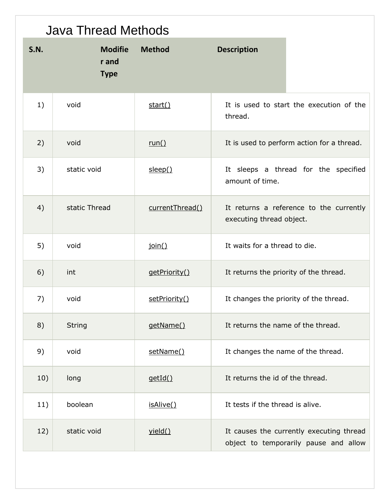|             | <b>Java Thread Methods</b>             |                 |                                                                                   |
|-------------|----------------------------------------|-----------------|-----------------------------------------------------------------------------------|
| <b>S.N.</b> | <b>Modifie</b><br>r and<br><b>Type</b> | <b>Method</b>   | <b>Description</b>                                                                |
| 1)          | void                                   | start()         | It is used to start the execution of the<br>thread.                               |
| 2)          | void                                   | run()           | It is used to perform action for a thread.                                        |
| 3)          | static void                            | sleep()         | It sleeps a thread for the specified<br>amount of time.                           |
| 4)          | static Thread                          | currentThread() | It returns a reference to the currently<br>executing thread object.               |
| 5)          | void                                   | join()          | It waits for a thread to die.                                                     |
| 6)          | int                                    | getPriority()   | It returns the priority of the thread.                                            |
| 7)          | void                                   | setPriority()   | It changes the priority of the thread.                                            |
| 8)          | <b>String</b>                          | getName()       | It returns the name of the thread.                                                |
| 9)          | void                                   | setName()       | It changes the name of the thread.                                                |
| 10)         | long                                   | getId()         | It returns the id of the thread.                                                  |
| 11)         | boolean                                | isAlive()       | It tests if the thread is alive.                                                  |
| 12)         | static void                            | yield()         | It causes the currently executing thread<br>object to temporarily pause and allow |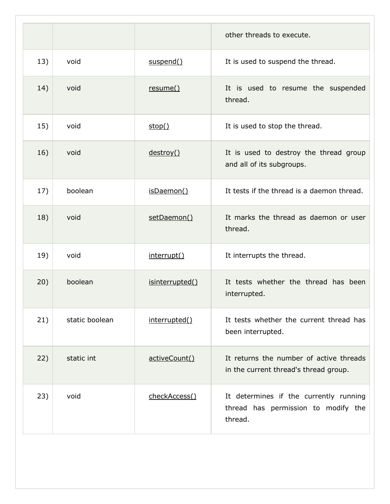|     |                |                 | other threads to execute.                                                                |
|-----|----------------|-----------------|------------------------------------------------------------------------------------------|
| 13) | void           | suspend()       | It is used to suspend the thread.                                                        |
| 14) | void           | resume()        | It is used to resume the suspended<br>thread.                                            |
| 15) | void           | stop()          | It is used to stop the thread.                                                           |
| 16) | void           | destroy()       | It is used to destroy the thread group<br>and all of its subgroups.                      |
| 17) | boolean        | isDaemon()      | It tests if the thread is a daemon thread.                                               |
| 18) | void           | setDaemon()     | It marks the thread as daemon or user<br>thread.                                         |
| 19) | void           | interrupt()     | It interrupts the thread.                                                                |
| 20) | boolean        | isinterrupted() | It tests whether the thread has been<br>interrupted.                                     |
| 21) | static boolean | interrupted()   | It tests whether the current thread has<br>been interrupted.                             |
| 22) | static int     | activeCount()   | It returns the number of active threads<br>in the current thread's thread group.         |
| 23) | void           | checkAccess()   | It determines if the currently running<br>thread has permission to modify the<br>thread. |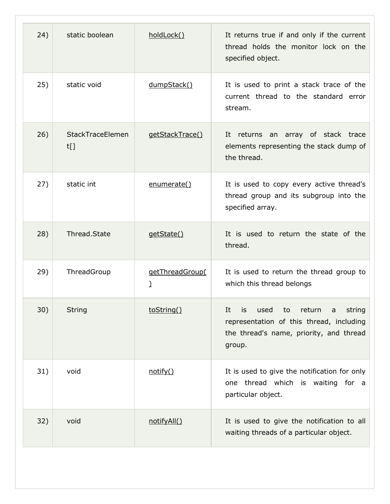| 24) | static boolean          | holdLock()                       | It returns true if and only if the current<br>thread holds the monitor lock on the<br>specified object.                                                 |
|-----|-------------------------|----------------------------------|---------------------------------------------------------------------------------------------------------------------------------------------------------|
| 25) | static void             | dumpStack()                      | It is used to print a stack trace of the<br>current thread to the standard error<br>stream.                                                             |
| 26) | StackTraceElemen<br>t[] | getStackTrace()                  | It returns an array of stack trace<br>elements representing the stack dump of<br>the thread.                                                            |
| 27) | static int              | enumerate()                      | It is used to copy every active thread's<br>thread group and its subgroup into the<br>specified array.                                                  |
| 28) | Thread.State            | getState()                       | It is used to return the state of the<br>thread.                                                                                                        |
| 29) | ThreadGroup             | getThreadGroup(<br>$\mathcal{L}$ | It is used to return the thread group to<br>which this thread belongs                                                                                   |
| 30) | <b>String</b>           | toString()                       | used<br>return<br>string<br>It<br>to<br><b>is</b><br>a<br>representation of this thread, including<br>the thread's name, priority, and thread<br>group. |
| 31) | void                    | notify()                         | It is used to give the notification for only<br>one thread which is waiting for a<br>particular object.                                                 |
| 32) | void                    | notifyAll()                      | It is used to give the notification to all<br>waiting threads of a particular object.                                                                   |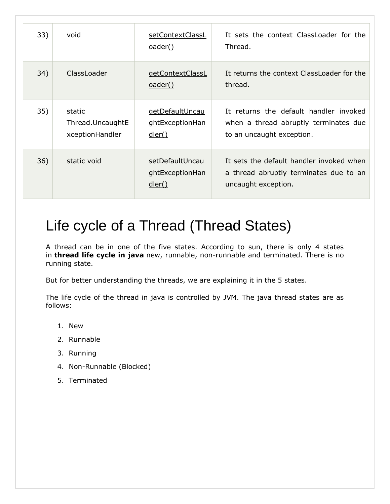| 33) | void                                          | setContextClassL<br><u>oader()</u>                  | It sets the context ClassLoader for the<br>Thread.                                                           |
|-----|-----------------------------------------------|-----------------------------------------------------|--------------------------------------------------------------------------------------------------------------|
| 34) | ClassLoader                                   | getContextClassL<br><u>oader()</u>                  | It returns the context ClassLoader for the<br>thread.                                                        |
| 35) | static<br>Thread.UncaughtE<br>xceptionHandler | getDefaultUncau<br>ghtExceptionHan<br><u>dler()</u> | It returns the default handler invoked<br>when a thread abruptly terminates due<br>to an uncaught exception. |
| 36) | static void                                   | setDefaultUncau<br>ghtExceptionHan<br><u>dler()</u> | It sets the default handler invoked when<br>a thread abruptly terminates due to an<br>uncaught exception.    |

# Life cycle of a Thread (Thread States)

A thread can be in one of the five states. According to sun, there is only 4 states in **thread life cycle in java** new, runnable, non-runnable and terminated. There is no running state.

But for better understanding the threads, we are explaining it in the 5 states.

The life cycle of the thread in java is controlled by JVM. The java thread states are as follows:

- 1. New
- 2. Runnable
- 3. Running
- 4. Non-Runnable (Blocked)
- 5. Terminated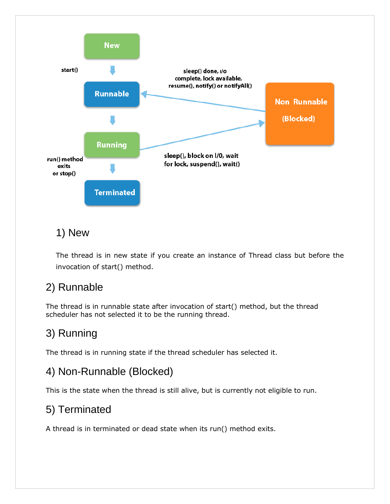

#### 1) New

The thread is in new state if you create an instance of Thread class but before the invocation of start() method.

#### 2) Runnable

The thread is in runnable state after invocation of start() method, but the thread scheduler has not selected it to be the running thread.

### 3) Running

The thread is in running state if the thread scheduler has selected it.

#### 4) Non-Runnable (Blocked)

This is the state when the thread is still alive, but is currently not eligible to run.

#### 5) Terminated

A thread is in terminated or dead state when its run() method exits.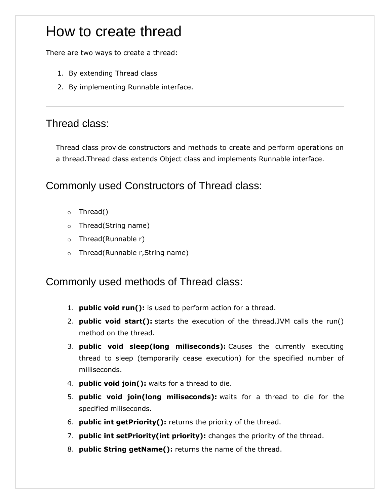## How to create thread

There are two ways to create a thread:

- 1. By extending Thread class
- 2. By implementing Runnable interface.

#### Thread class:

Thread class provide constructors and methods to create and perform operations on a thread.Thread class extends Object class and implements Runnable interface.

#### Commonly used Constructors of Thread class:

- o Thread()
- o Thread(String name)
- o Thread(Runnable r)
- o Thread(Runnable r,String name)

#### Commonly used methods of Thread class:

- 1. **public void run():** is used to perform action for a thread.
- 2. **public void start():** starts the execution of the thread.JVM calls the run() method on the thread.
- 3. **public void sleep(long miliseconds):** Causes the currently executing thread to sleep (temporarily cease execution) for the specified number of milliseconds.
- 4. **public void join():** waits for a thread to die.
- 5. **public void join(long miliseconds):** waits for a thread to die for the specified miliseconds.
- 6. **public int getPriority():** returns the priority of the thread.
- 7. **public int setPriority(int priority):** changes the priority of the thread.
- 8. **public String getName():** returns the name of the thread.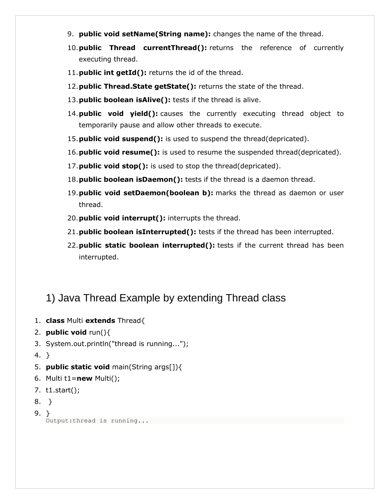- 9. **public void setName(String name):** changes the name of the thread.
- 10.**public Thread currentThread():** returns the reference of currently executing thread.
- 11.**public int getId():** returns the id of the thread.
- 12.**public Thread.State getState():** returns the state of the thread.
- 13.**public boolean isAlive():** tests if the thread is alive.
- 14.**public void yield():** causes the currently executing thread object to temporarily pause and allow other threads to execute.
- 15.**public void suspend():** is used to suspend the thread(depricated).
- 16.**public void resume():** is used to resume the suspended thread(depricated).
- 17.**public void stop():** is used to stop the thread(depricated).
- 18.**public boolean isDaemon():** tests if the thread is a daemon thread.
- 19.**public void setDaemon(boolean b):** marks the thread as daemon or user thread.
- 20.**public void interrupt():** interrupts the thread.
- 21.**public boolean isInterrupted():** tests if the thread has been interrupted.
- 22.**public static boolean interrupted():** tests if the current thread has been interrupted.

#### 1) Java Thread Example by extending Thread class

- 1. **class** Multi **extends** Thread{
- 2. **public void** run(){
- 3. System.out.println("thread is running...");
- 4. }
- 5. **public static void** main(String args[]){
- 6. Multi t1=**new** Multi();
- 7. t1.start();
- 8. }
- 9. } Output:thread is running...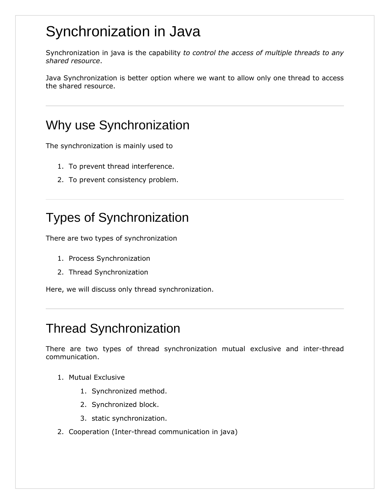# Synchronization in Java

Synchronization in java is the capability *to control the access of multiple threads to any shared resource*.

Java Synchronization is better option where we want to allow only one thread to access the shared resource.

## Why use Synchronization

The synchronization is mainly used to

- 1. To prevent thread interference.
- 2. To prevent consistency problem.

## Types of Synchronization

There are two types of synchronization

- 1. Process Synchronization
- 2. Thread Synchronization

Here, we will discuss only thread synchronization.

### Thread Synchronization

There are two types of thread synchronization mutual exclusive and inter-thread communication.

- 1. Mutual Exclusive
	- 1. Synchronized method.
	- 2. Synchronized block.
	- 3. static synchronization.
- 2. Cooperation (Inter-thread communication in java)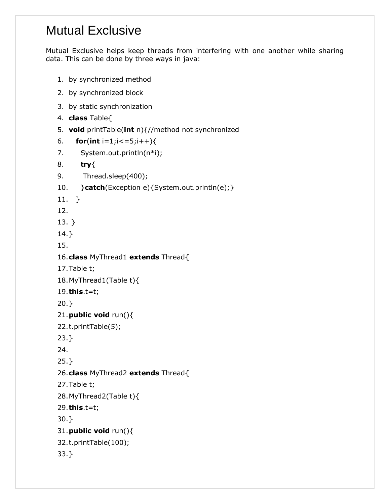### Mutual Exclusive

Mutual Exclusive helps keep threads from interfering with one another while sharing data. This can be done by three ways in java:

- 1. by synchronized method
- 2. by synchronized block
- 3. by static synchronization
- 4. **class** Table{
- 5. **void** printTable(**int** n){//method not synchronized
- 6. **for**(**int** i=1;i<=5;i++){
- 7. System.out.println(n\*i);
- 8. **try**{
- 9. Thread.sleep(400);
- 10. }**catch**(Exception e){System.out.println(e);}
- 11. }
- 12.
- 13. }
- 14.}
- 15.
- 16.**class** MyThread1 **extends** Thread{
- 17.Table t;
- 18.MyThread1(Table t){
- 19.**this**.t=t;
- 20.}
- 21.**public void** run(){
- 22.t.printTable(5);
- 23.}
- 24.
- 25.}
- 26.**class** MyThread2 **extends** Thread{
- 27.Table t;
- 28.MyThread2(Table t){
- 29.**this**.t=t;
- 30.}
- 31.**public void** run(){
- 32.t.printTable(100);
- 33.}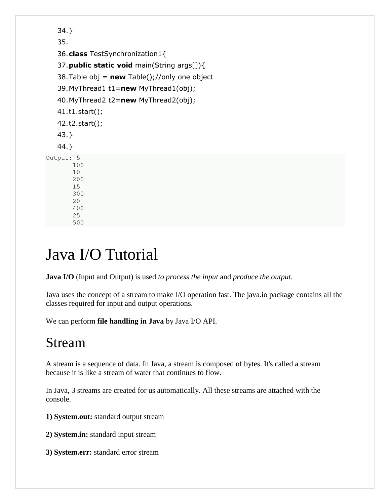```
34.} 
   35. 
   36.class TestSynchronization1{ 
   37.public static void main(String args[]){ 
   38.Table obj = new Table();//only one object 
   39.MyThread1 t1=new MyThread1(obj); 
   40.MyThread2 t2=new MyThread2(obj); 
   41.t1.start(); 
   42.t2.start(); 
   43.} 
   44.} 
Output: 5
         100
         10
         200
         15
         300
         20
         400
         25
```
# Java I/O Tutorial

500

**Java I/O** (Input and Output) is used *to process the input* and *produce the output*.

Java uses the concept of a stream to make I/O operation fast. The java.io package contains all the classes required for input and output operations.

We can perform **file handling in Java** by Java I/O API.

## Stream

A stream is a sequence of data. In Java, a stream is composed of bytes. It's called a stream because it is like a stream of water that continues to flow.

In Java, 3 streams are created for us automatically. All these streams are attached with the console.

**1) System.out:** standard output stream

**2) System.in:** standard input stream

**3) System.err:** standard error stream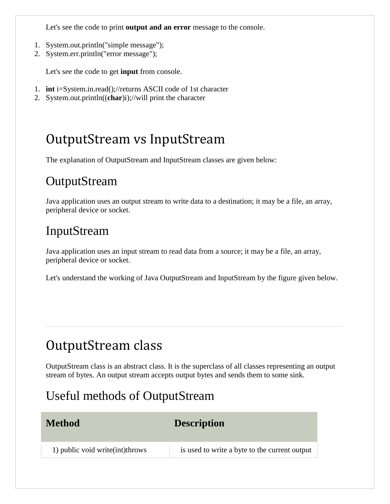Let's see the code to print **output and an error** message to the console.

- 1. System.out.println("simple message");
- 2. System.err.println("error message");

Let's see the code to get **input** from console.

- 1. **int** i=System.in.read();//returns ASCII code of 1st character
- 2. System.out.println((**char**)i);//will print the character

## OutputStream vs InputStream

The explanation of OutputStream and InputStream classes are given below:

### **OutputStream**

Java application uses an output stream to write data to a destination; it may be a file, an array, peripheral device or socket.

## InputStream

Java application uses an input stream to read data from a source; it may be a file, an array, peripheral device or socket.

Let's understand the working of Java OutputStream and InputStream by the figure given below.

# OutputStream class

OutputStream class is an abstract class. It is the superclass of all classes representing an output stream of bytes. An output stream accepts output bytes and sends them to some sink.

### Useful methods of OutputStream

| <b>Method</b>                     | <b>Description</b>                            |
|-----------------------------------|-----------------------------------------------|
| 1) public void write (int) throws | is used to write a byte to the current output |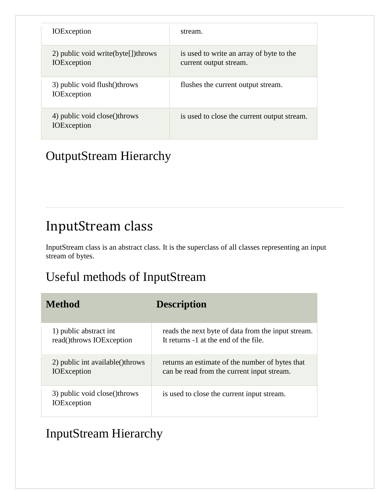| <b>IOE</b> xception                                        | stream.                                                            |
|------------------------------------------------------------|--------------------------------------------------------------------|
| 2) public void write(byte[]) throws<br><b>IOE</b> xception | is used to write an array of byte to the<br>current output stream. |
| 3) public void flush()throws<br><b>IOE</b> xception        | flushes the current output stream.                                 |
| 4) public void close()throws<br><b>IOE</b> xception        | is used to close the current output stream.                        |

## OutputStream Hierarchy

## InputStream class

InputStream class is an abstract class. It is the superclass of all classes representing an input stream of bytes.

### Useful methods of InputStream

| <b>Method</b>                                        | <b>Description</b>                                 |
|------------------------------------------------------|----------------------------------------------------|
| 1) public abstract int                               | reads the next byte of data from the input stream. |
| read()throws IOException                             | It returns -1 at the end of the file.              |
| 2) public int available() throws                     | returns an estimate of the number of bytes that    |
| <b>IOE</b> xception                                  | can be read from the current input stream.         |
| 3) public void close() throws<br><b>IOE</b> xception | is used to close the current input stream.         |

### InputStream Hierarchy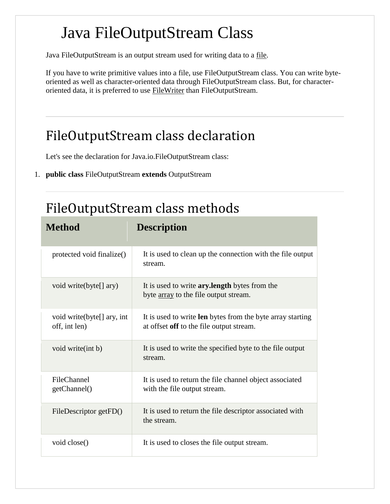# Java FileOutputStream Class

Java FileOutputStream is an output stream used for writing data to a [file.](https://www.javatpoint.com/java-file-class)

If you have to write primitive values into a file, use FileOutputStream class. You can write byteoriented as well as character-oriented data through FileOutputStream class. But, for character-oriented data, it is preferred to use [FileWriter](https://www.javatpoint.com/java-filterwriter-class) than FileOutputStream.

## FileOutputStream class declaration

Let's see the declaration for Java.io.FileOutputStream class:

1. **public class** FileOutputStream **extends** OutputStream

## FileOutputStream class methods

| <b>Method</b>                                | <b>Description</b>                                                                                     |
|----------------------------------------------|--------------------------------------------------------------------------------------------------------|
| protected void finalize()                    | It is used to clean up the connection with the file output<br>stream.                                  |
| void write(byte[] ary)                       | It is used to write <b>ary.length</b> bytes from the<br>byte <u>array</u> to the file output stream.   |
| void write (byte[] ary, int<br>off, int len) | It is used to write len bytes from the byte array starting<br>at offset off to the file output stream. |
| void write(int b)                            | It is used to write the specified byte to the file output<br>stream.                                   |
| FileChannel<br>getChannel()                  | It is used to return the file channel object associated<br>with the file output stream.                |
| FileDescriptor getFD()                       | It is used to return the file descriptor associated with<br>the stream.                                |
| void close()                                 | It is used to closes the file output stream.                                                           |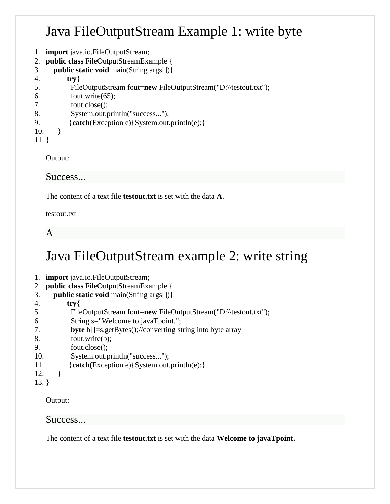## Java FileOutputStream Example 1: write byte

- 1. **import** java.io.FileOutputStream;
- 2. **public class** FileOutputStreamExample {
- 3. **public static void** main(String args[]){
- 4. **try**{
- 5. FileOutputStream fout=**new** FileOutputStream("D:\\testout.txt");
- 6. fout.write(65);
- 7. fout.close();
- 8. System.out.println("success...");
- 9. **}catch**(Exception e){System.out.println(e);}
- 10. }
- 11. }

Output:

Success...

The content of a text file **testout.txt** is set with the data **A**.

testout.txt

A

## Java FileOutputStream example 2: write string

- 1. **import** java.io.FileOutputStream;
- 2. **public class** FileOutputStreamExample {
- 3. **public static void** main(String args[]){
- 4. **try**{
- 5. FileOutputStream fout=**new** FileOutputStream("D:\\testout.txt");
- 6. String s="Welcome to javaTpoint.";
- 7. **byte** b[]=s.getBytes();//converting string into byte array
- 8. fout.write(b);
- 9. fout.close();
- 10. System.out.println("success...");
- 11. **}catch**(Exception e){System.out.println(e);}
- $12.$  }
- 13. }

Output:

#### Success...

The content of a text file **testout.txt** is set with the data **Welcome to javaTpoint.**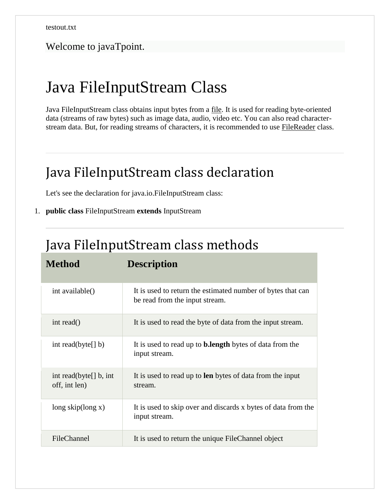#### Welcome to javaTpoint.

## Java FileInputStream Class

Java FileInputStream class obtains input bytes from a [file.](https://www.javatpoint.com/java-file-class) It is used for reading byte-oriented data (streams of raw bytes) such as image data, audio, video etc. You can also read characterstream data. But, for reading streams of characters, it is recommended to use [FileReader](https://www.javatpoint.com/java-filereader-class) class.

## Java FileInputStream class declaration

Let's see the declaration for java.io.FileInputStream class:

#### 1. **public class** FileInputStream **extends** InputStream

### Java FileInputStream class methods

| <b>Method</b>                              | <b>Description</b>                                                                            |
|--------------------------------------------|-----------------------------------------------------------------------------------------------|
| int available()                            | It is used to return the estimated number of bytes that can<br>be read from the input stream. |
| int read()                                 | It is used to read the byte of data from the input stream.                                    |
| int read(byte $[$ ] b)                     | It is used to read up to <b>b.length</b> bytes of data from the<br>input stream.              |
| int read(byte $[]$ b, int<br>off, int len) | It is used to read up to <b>len</b> bytes of data from the input<br>stream.                   |
| $long$ skip(long x)                        | It is used to skip over and discards x bytes of data from the<br>input stream.                |
| FileChannel                                | It is used to return the unique FileChannel object                                            |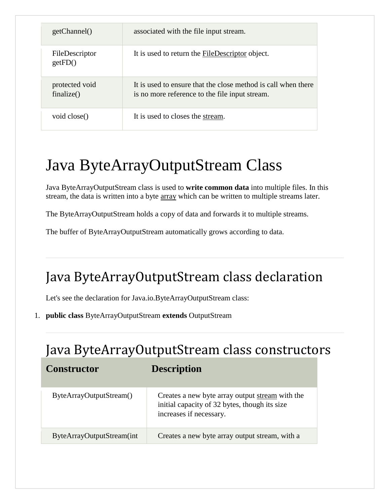| getChannel()                 | associated with the file input stream.                                                                          |
|------------------------------|-----------------------------------------------------------------------------------------------------------------|
| FileDescriptor<br>getFD()    | It is used to return the FileDescriptor object.                                                                 |
| protected void<br>finalize() | It is used to ensure that the close method is call when there<br>is no more reference to the file input stream. |
| void close()                 | It is used to closes the stream.                                                                                |

# Java ByteArrayOutputStream Class

Java ByteArrayOutputStream class is used to **write common data** into multiple files. In this stream, the data is written into a byte [array](https://www.javatpoint.com/array-in-java) which can be written to multiple streams later.

The ByteArrayOutputStream holds a copy of data and forwards it to multiple streams.

The buffer of ByteArrayOutputStream automatically grows according to data.

## Java ByteArrayOutputStream class declaration

Let's see the declaration for Java.io.ByteArrayOutputStream class:

1. **public class** ByteArrayOutputStream **extends** OutputStream

## Java ByteArrayOutputStream class constructors

| <b>Constructor</b>        | <b>Description</b>                                                                                                          |
|---------------------------|-----------------------------------------------------------------------------------------------------------------------------|
| ByteArrayOutputStream()   | Creates a new byte array output stream with the<br>initial capacity of 32 bytes, though its size<br>increases if necessary. |
| ByteArrayOutputStream(int | Creates a new byte array output stream, with a                                                                              |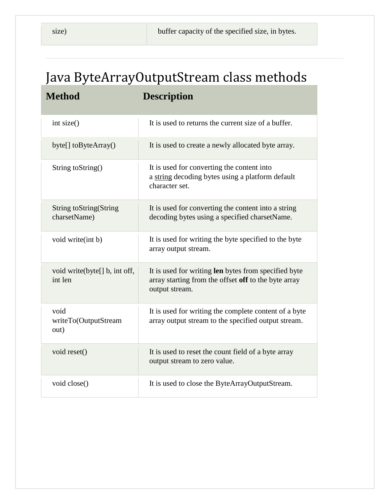# Java ByteArrayOutputStream class methods

| <b>Method</b>                                  | <b>Description</b>                                                                                                             |
|------------------------------------------------|--------------------------------------------------------------------------------------------------------------------------------|
| int size()                                     | It is used to returns the current size of a buffer.                                                                            |
| byte[] toByteArray()                           | It is used to create a newly allocated byte array.                                                                             |
| String to String()                             | It is used for converting the content into<br>a string decoding bytes using a platform default<br>character set.               |
| <b>String toString (String</b><br>charsetName) | It is used for converting the content into a string<br>decoding bytes using a specified charsetName.                           |
| void write(int b)                              | It is used for writing the byte specified to the byte<br>array output stream.                                                  |
| void write(byte[] b, int off,<br>int len       | It is used for writing len bytes from specified byte<br>array starting from the offset off to the byte array<br>output stream. |
| void<br>writeTo(OutputStream<br>out)           | It is used for writing the complete content of a byte<br>array output stream to the specified output stream.                   |
| void reset()                                   | It is used to reset the count field of a byte array<br>output stream to zero value.                                            |
| void close()                                   | It is used to close the ByteArrayOutputStream.                                                                                 |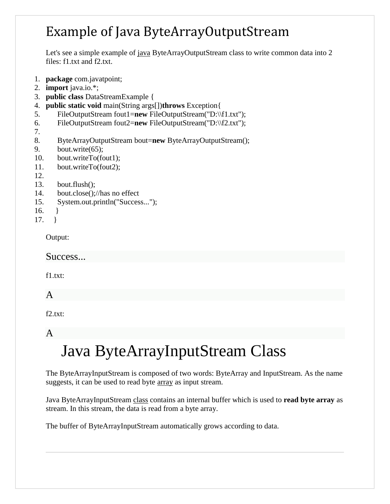## Example of Java ByteArrayOutputStream

Let's see a simple example of [java](https://www.javatpoint.com/java-tutorial) ByteArrayOutputStream class to write common data into 2 files: f1.txt and f2.txt.

- 1. **package** com.javatpoint;
- 2. **import** java.io.\*;
- 3. **public class** DataStreamExample {
- 4. **public static void** main(String args[])**throws** Exception{
- 5. FileOutputStream fout1=**new** FileOutputStream("D:\\f1.txt");
- 6. FileOutputStream fout2=**new** FileOutputStream("D:\\f2.txt");
- 7.
- 8. ByteArrayOutputStream bout=**new** ByteArrayOutputStream();
- 9. bout.write(65);
- 10. bout.writeTo(fout1);
- 11. bout.writeTo(fout2);
- 12.
- 13. bout.flush();
- 14. bout.close();//has no effect
- 15. System.out.println("Success...");
- 16. }
- 17. }

Output:

Success...

f1.txt:

A

f2.txt:

#### A

# Java ByteArrayInputStream Class

The ByteArrayInputStream is composed of two words: ByteArray and InputStream. As the name suggests, it can be used to read byte [array](https://www.javatpoint.com/array-in-java) as input stream.

Java ByteArrayInputStream [class](https://www.javatpoint.com/object-and-class-in-java) contains an internal buffer which is used to **read byte array** as stream. In this stream, the data is read from a byte array.

The buffer of ByteArrayInputStream automatically grows according to data.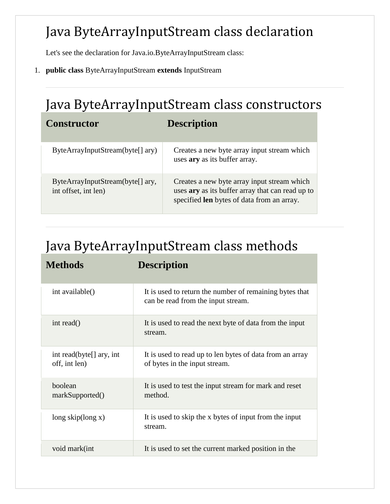## Java ByteArrayInputStream class declaration

Let's see the declaration for Java.io.ByteArrayInputStream class:

1. **public class** ByteArrayInputStream **extends** InputStream

# Java ByteArrayInputStream class constructors

| <b>Constructor</b>                                       | <b>Description</b>                                                                                                                                   |
|----------------------------------------------------------|------------------------------------------------------------------------------------------------------------------------------------------------------|
| ByteArrayInputStream(byte[] ary)                         | Creates a new byte array input stream which<br>uses ary as its buffer array.                                                                         |
| ByteArrayInputStream(byte[] ary,<br>int offset, int len) | Creates a new byte array input stream which<br>uses ary as its buffer array that can read up to<br>specified <b>len</b> bytes of data from an array. |

## Java ByteArrayInputStream class methods

| <b>Methods</b>                            | <b>Description</b>                                                                            |
|-------------------------------------------|-----------------------------------------------------------------------------------------------|
| int available()                           | It is used to return the number of remaining bytes that<br>can be read from the input stream. |
| int read()                                | It is used to read the next byte of data from the input<br>stream.                            |
| int read(byte[] ary, int<br>off, int len) | It is used to read up to len bytes of data from an array<br>of bytes in the input stream.     |
| boolean<br>markSupported()                | It is used to test the input stream for mark and reset<br>method.                             |
| long skip(long $x$ )                      | It is used to skip the x bytes of input from the input<br>stream.                             |
| void mark(int                             | It is used to set the current marked position in the                                          |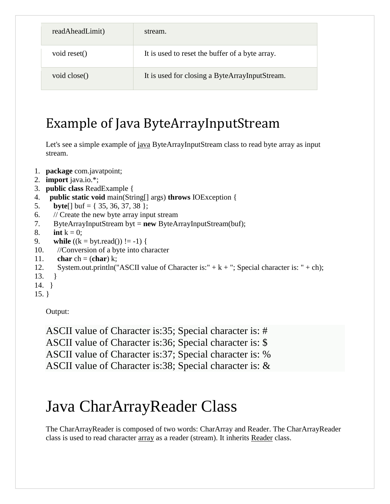| readAheadLimit) | stream.                                         |
|-----------------|-------------------------------------------------|
| void reset()    | It is used to reset the buffer of a byte array. |
| void close()    | It is used for closing a ByteArrayInputStream.  |

## Example of Java ByteArrayInputStream

Let's see a simple example of [java](https://www.javatpoint.com/java-tutorial) ByteArrayInputStream class to read byte array as input stream.

- 1. **package** com.javatpoint;
- 2. **import** java.io.\*;
- 3. **public class** ReadExample {
- 4. **public static void** main(String[] args) **throws** IOException {
- 5. **byte**[] buf = { 35, 36, 37, 38 };
- 6. // Create the new byte array input stream
- 7. ByteArrayInputStream byt = **new** ByteArrayInputStream(buf);
- 8. **int**  $k = 0$ ;
- 9. **while**  $((k = byt.read()) \equiv -1)$  {
- 10. //Conversion of a byte into character
- 11. **char** ch = (**char**) k;
- 12. System.out.println("ASCII value of Character is:" +  $k +$ "; Special character is: " + ch);
- 13. }
- 14. }
- 15. }

Output:

ASCII value of Character is:35; Special character is: # ASCII value of Character is:36; Special character is: \$ ASCII value of Character is:37; Special character is: % ASCII value of Character is:38; Special character is: &

# Java CharArrayReader Class

The CharArrayReader is composed of two words: CharArray and Reader. The CharArrayReader class is used to read character [array](https://www.javatpoint.com/array-in-java) as a reader (stream). It inherits [Reader](https://www.javatpoint.com/java-reader-class) class.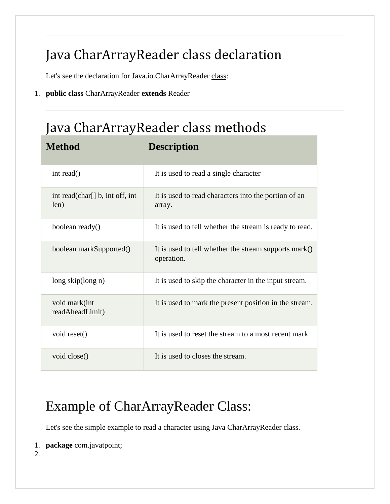# Java CharArrayReader class declaration

Let's see the declaration for Java.io.CharArrayReader [class:](https://www.javatpoint.com/object-and-class-in-java)

1. **public class** CharArrayReader **extends** Reader

**Method Description**

# Java CharArrayReader class methods

| int read()                              | It is used to read a single character                               |
|-----------------------------------------|---------------------------------------------------------------------|
| int read(char[] b, int off, int<br>len) | It is used to read characters into the portion of an<br>array.      |
| boolean ready()                         | It is used to tell whether the stream is ready to read.             |
| boolean markSupported()                 | It is used to tell whether the stream supports mark()<br>operation. |
| $long$ skip $(long n)$                  | It is used to skip the character in the input stream.               |
| void mark(int<br>readAheadLimit)        | It is used to mark the present position in the stream.              |
| void reset()                            | It is used to reset the stream to a most recent mark.               |
| void close()                            | It is used to closes the stream.                                    |

## Example of CharArrayReader Class:

Let's see the simple example to read a character using Java CharArrayReader class.

```
1. package com.javatpoint;
```
2.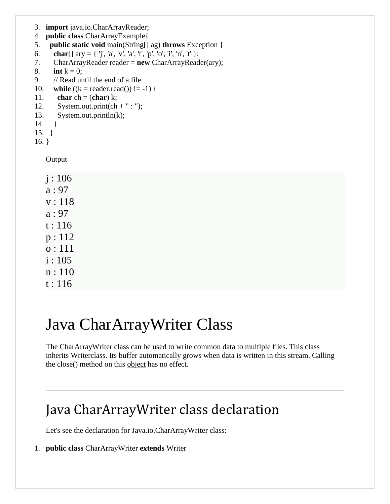- 3. **import** java.io.CharArrayReader;
- 4. **public class** CharArrayExample{
- 5. **public static void** main(String[] ag) **throws** Exception {
- 6. **char**[] ary = { 'j', 'a', 'v', 'a', 't', 'p', 'o', 'i', 'n', 't' };
- 7. CharArrayReader reader = **new** CharArrayReader(ary);
- 8. **int**  $k = 0$ ;
- 9. // Read until the end of a file
- 10. **while**  $((k = reader.read()) != -1)$  {
- 11. **char** ch = (**char**) k;
- 12. System.out.print(ch + " : ");
- 13. System.out.println(k);
- 14. }
- 15. }
- 16. }

Output

| j:106  |
|--------|
| a:97   |
| v:118  |
| a:97   |
| t:116  |
| p: 112 |
| o: 111 |
| i:105  |
| n:110  |
| t:116  |

# Java CharArrayWriter Class

The CharArrayWriter class can be used to write common data to multiple files. This class inherits [Writerc](https://www.javatpoint.com/java-writer-class)lass. Its buffer automatically grows when data is written in this stream. Calling the close() method on this [object](https://www.javatpoint.com/object-and-class-in-java) has no effect.

## Java CharArrayWriter class declaration

Let's see the declaration for Java.io.CharArrayWriter class:

1. **public class** CharArrayWriter **extends** Writer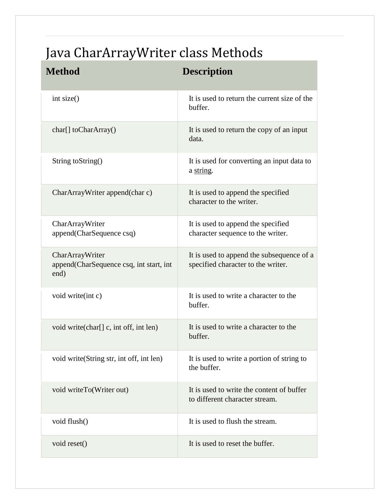# Java CharArrayWriter class Methods

| <b>Method</b>                                                        | <b>Description</b>                                                              |
|----------------------------------------------------------------------|---------------------------------------------------------------------------------|
| int size()                                                           | It is used to return the current size of the<br>buffer.                         |
| $char[]$ to CharArray()                                              | It is used to return the copy of an input<br>data.                              |
| String to String()                                                   | It is used for converting an input data to<br>a string.                         |
| CharArrayWriter append(char c)                                       | It is used to append the specified<br>character to the writer.                  |
| CharArrayWriter<br>append(CharSequence csq)                          | It is used to append the specified<br>character sequence to the writer.         |
| CharArrayWriter<br>append (CharSequence csq, int start, int.<br>end) | It is used to append the subsequence of a<br>specified character to the writer. |
| void write(int c)                                                    | It is used to write a character to the<br>buffer.                               |
| void write (char[] c, int off, int len)                              | It is used to write a character to the<br>buffer.                               |
| void write (String str, int off, int len)                            | It is used to write a portion of string to<br>the buffer.                       |
| void writeTo(Writer out)                                             | It is used to write the content of buffer<br>to different character stream.     |
| void flush()                                                         | It is used to flush the stream.                                                 |
| void reset()                                                         | It is used to reset the buffer.                                                 |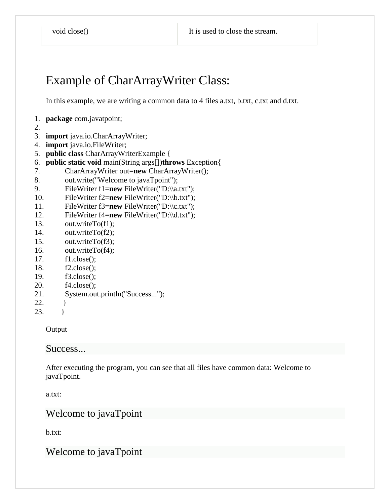### Example of CharArrayWriter Class:

In this example, we are writing a common data to 4 files a.txt, b.txt, c.txt and d.txt.

- 1. **package** com.javatpoint;
- 2.
- 3. **import** java.io.CharArrayWriter;
- 4. **import** java.io.FileWriter;
- 5. **public class** CharArrayWriterExample {
- 6. **public static void** main(String args[])**throws** Exception{
- 7. CharArrayWriter out=**new** CharArrayWriter();
- 8. out.write("Welcome to javaTpoint");
- 9. FileWriter f1=**new** FileWriter("D:\\a.txt");
- 10. FileWriter f2=**new** FileWriter("D:\\b.txt");
- 11. FileWriter f3=**new** FileWriter("D:\\c.txt");
- 12. FileWriter f4=**new** FileWriter("D:\\d.txt");
- 13. out.writeTo(f1);
- 14. out.writeTo(f2);
- 15. out.writeTo(f3);
- 16. out.writeTo(f4);
- 17. f1.close();
- 18. f2.close();
- 19. f3.close();
- 20. f4.close();
- 21. System.out.println("Success...");
- 22. }
- 23. }

**Output** 

#### Success...

After executing the program, you can see that all files have common data: Welcome to javaTpoint.

a.txt:

#### Welcome to javaTpoint

b.txt:

Welcome to javaTpoint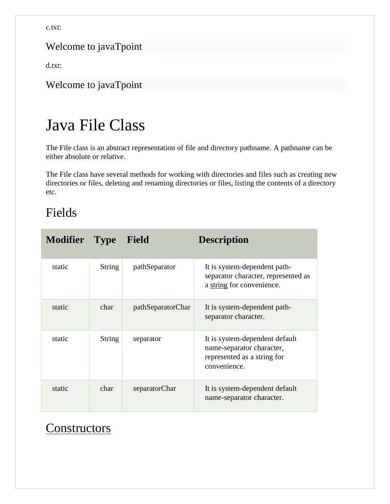c.txt:

#### Welcome to javaTpoint

d.txt:

Welcome to javaTpoint

# Java File Class

The File class is an abstract representation of file and directory pathname. A pathname can be either absolute or relative.

The File class have several methods for working with directories and files such as creating new directories or files, deleting and renaming directories or files, listing the contents of a directory etc.

#### Fields

| <b>Modifier</b> Type |               | Field             | <b>Description</b>                                                                                         |
|----------------------|---------------|-------------------|------------------------------------------------------------------------------------------------------------|
| static               | <b>String</b> | pathSeparator     | It is system-dependent path-<br>separator character, represented as<br>a string for convenience.           |
| static               | char          | pathSeparatorChar | It is system-dependent path-<br>separator character.                                                       |
| static               | <b>String</b> | separator         | It is system-dependent default<br>name-separator character,<br>represented as a string for<br>convenience. |
| static               | char          | separatorChar     | It is system-dependent default<br>name-separator character.                                                |

### **[Constructors](https://www.javatpoint.com/java-constructor)**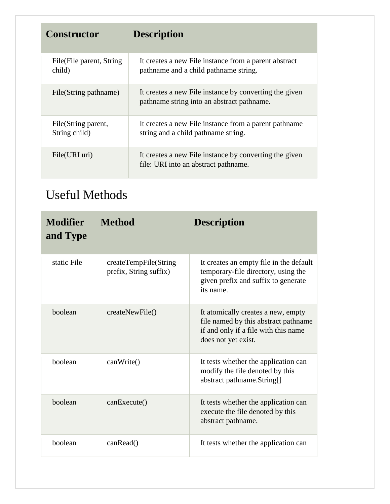| <b>Constructor</b>                   | <b>Description</b>                                                                                   |
|--------------------------------------|------------------------------------------------------------------------------------------------------|
| File (File parent, String)<br>child) | It creates a new File instance from a parent abstract<br>pathname and a child pathname string.       |
| File(String pathname)                | It creates a new File instance by converting the given<br>pathname string into an abstract pathname. |
| File(String parent,<br>String child) | It creates a new File instance from a parent pathname<br>string and a child pathname string.         |
| File(URI uri)                        | It creates a new File instance by converting the given<br>file: URI into an abstract pathname.       |

### Useful Methods

| <b>Modifier</b><br>and Type | <b>Method</b>                                   | <b>Description</b>                                                                                                                        |
|-----------------------------|-------------------------------------------------|-------------------------------------------------------------------------------------------------------------------------------------------|
| static File                 | createTempFile(String<br>prefix, String suffix) | It creates an empty file in the default<br>temporary-file directory, using the<br>given prefix and suffix to generate<br>its name.        |
| boolean                     | createNewFile()                                 | It atomically creates a new, empty<br>file named by this abstract pathname<br>if and only if a file with this name<br>does not yet exist. |
| boolean                     | canWrite()                                      | It tests whether the application can<br>modify the file denoted by this<br>abstract pathname.String[]                                     |
| boolean                     | canExecute()                                    | It tests whether the application can<br>execute the file denoted by this<br>abstract pathname.                                            |
| boolean                     | canRead()                                       | It tests whether the application can                                                                                                      |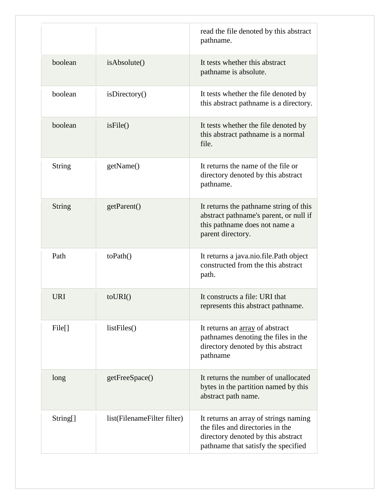|                    |                             | read the file denoted by this abstract<br>pathname.                                                                                                    |
|--------------------|-----------------------------|--------------------------------------------------------------------------------------------------------------------------------------------------------|
| boolean            | isAbsolute()                | It tests whether this abstract<br>pathname is absolute.                                                                                                |
| boolean            | isDirectory()               | It tests whether the file denoted by<br>this abstract pathname is a directory.                                                                         |
| boolean            | isFile()                    | It tests whether the file denoted by<br>this abstract pathname is a normal<br>file.                                                                    |
| <b>String</b>      | getName()                   | It returns the name of the file or<br>directory denoted by this abstract<br>pathname.                                                                  |
| <b>String</b>      | getParent()                 | It returns the pathname string of this<br>abstract pathname's parent, or null if<br>this pathname does not name a<br>parent directory.                 |
| Path               | toPath()                    | It returns a java.nio.file.Path object<br>constructed from the this abstract<br>path.                                                                  |
| <b>URI</b>         | $to \text{URI}()$           | It constructs a file: URI that<br>represents this abstract pathname.                                                                                   |
| File <sup>[]</sup> | listFiles()                 | It returns an array of abstract<br>pathnames denoting the files in the<br>directory denoted by this abstract<br>pathname                               |
| long               | getFreeSpace()              | It returns the number of unallocated<br>bytes in the partition named by this<br>abstract path name.                                                    |
| String[]           | list(FilenameFilter filter) | It returns an array of strings naming<br>the files and directories in the<br>directory denoted by this abstract<br>pathname that satisfy the specified |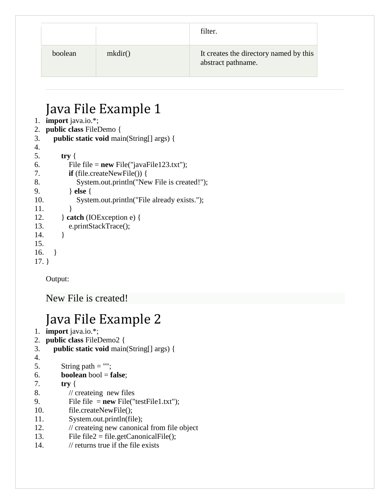|         |         | filter.                                                      |
|---------|---------|--------------------------------------------------------------|
| boolean | mkdir() | It creates the directory named by this<br>abstract pathname. |

## Java File Example 1

- 1. **import** java.io.\*;
- 2. **public class** FileDemo {
- 3. **public static void** main(String[] args) {
- 4.

| —.  |                                             |
|-----|---------------------------------------------|
| 5.  | try $\{$                                    |
| 6.  | File file = $new$ File("javaFile123.txt");  |
| 7.  | $\mathbf{if}$ (file.createNewFile()) {      |
| 8.  | System.out.println("New File is created!"); |
| 9.  | $\}$ else $\{$                              |
| 10. | System.out.println("File already exists."); |
| 11. |                                             |
| 12. | $\}$ catch (IOException e) {                |
| 13. | e.printStackTrace();                        |
| 14. |                                             |
| 15. |                                             |
| 16. |                                             |
|     |                                             |

17. }

Output:

New File is created!

## Java File Example 2

- 1. **import** java.io.\*;
- 2. **public class** FileDemo2 {
- 3. **public static void** main(String[] args) {
- 4.
- 5. String path  $=$  "";
- 6. **boolean** bool = **false**;
- 7. **try** {
- 8. // createing new files
- 9. File file = **new** File("testFile1.txt");
- 10. file.createNewFile();
- 11. System.out.println(file);
- 12. // createing new canonical from file object
- 13. File  $file2 = file.getCanonicalFile$ ;
- 14. // returns true if the file exists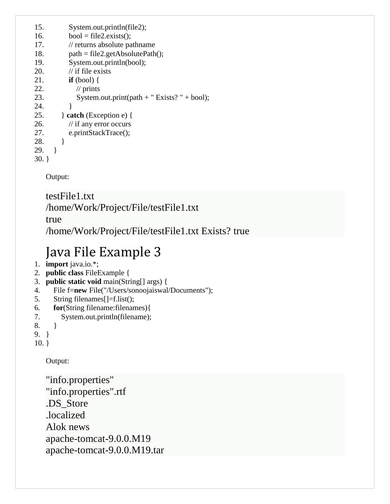| 15.      | System.out.println(file2);                   |
|----------|----------------------------------------------|
| 16.      | $bool = file2.exists$ .                      |
| 17.      | // returns absolute pathname                 |
| 18.      | $path = file2.getAbsolutePath();$            |
| 19.      | System.out.println(bool);                    |
| 20.      | $\frac{1}{1}$ if file exists                 |
| 21.      | $if (bool) { }$                              |
| 22.      | $\frac{1}{\pi}$ prints                       |
| 23.      | System.out.print(path + " Exists? " + bool); |
| 24.      | ł                                            |
| 25.      | $\}$ catch (Exception e) {                   |
| 26.      | $\frac{1}{1}$ if any error occurs            |
| 27.      | e.printStackTrace();                         |
| 28.      | ł                                            |
| 29.      |                                              |
| $20 - 1$ |                                              |

30. }

Output:

#### testFile1.txt /home/Work/Project/File/testFile1.txt

true

/home/Work/Project/File/testFile1.txt Exists? true

## Java File Example 3

- 1. **import** java.io.\*;
- 2. **public class** FileExample {
- 3. **public static void** main(String[] args) {
- 4. File f=**new** File("/Users/sonoojaiswal/Documents");
- 5. String filenames[]=f.list();
- 6. **for**(String filename:filenames){
- 7. System.out.println(filename);
- 8. }
- 9. }

10. }

Output:

"info.properties" "info.properties".rtf .DS\_Store .localized Alok news apache-tomcat-9.0.0.M19 apache-tomcat-9.0.0.M19.tar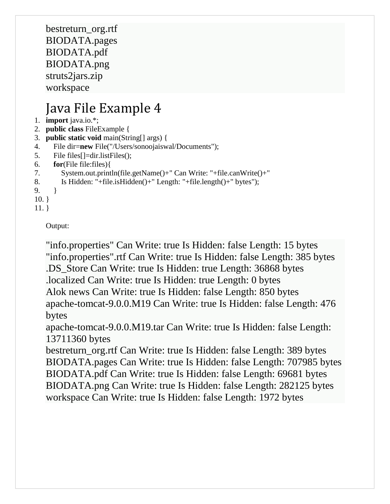bestreturn\_org.rtf BIODATA.pages BIODATA.pdf BIODATA.png struts2jars.zip workspace

## Java File Example 4

- 1. **import** java.io.\*;
- 2. **public class** FileExample {
- 3. **public static void** main(String[] args) {
- 4. File dir=**new** File("/Users/sonoojaiswal/Documents");
- 5. File files[]=dir.listFiles();
- 6. **for**(File file:files){

```
7. System.out.println(file.getName()+" Can Write: "+file.canWrite()+"
```
- 8. Is Hidden: "+file.isHidden()+" Length: "+file.length()+" bytes");
- 9. }
- 10. }
- 11. }

Output:

"info.properties" Can Write: true Is Hidden: false Length: 15 bytes "info.properties".rtf Can Write: true Is Hidden: false Length: 385 bytes .DS\_Store Can Write: true Is Hidden: true Length: 36868 bytes .localized Can Write: true Is Hidden: true Length: 0 bytes Alok news Can Write: true Is Hidden: false Length: 850 bytes apache-tomcat-9.0.0.M19 Can Write: true Is Hidden: false Length: 476 bytes

apache-tomcat-9.0.0.M19.tar Can Write: true Is Hidden: false Length: 13711360 bytes

bestreturn\_org.rtf Can Write: true Is Hidden: false Length: 389 bytes BIODATA.pages Can Write: true Is Hidden: false Length: 707985 bytes BIODATA.pdf Can Write: true Is Hidden: false Length: 69681 bytes BIODATA.png Can Write: true Is Hidden: false Length: 282125 bytes workspace Can Write: true Is Hidden: false Length: 1972 bytes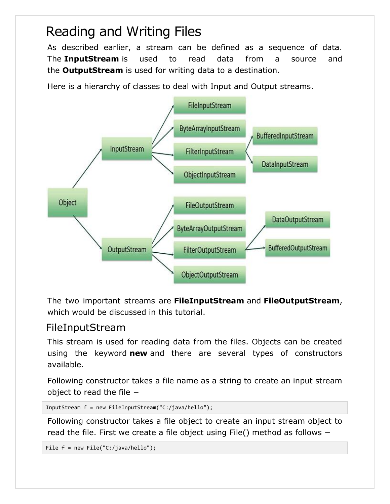## Reading and Writing Files

As described earlier, a stream can be defined as a sequence of data. The **InputStream** is used to read data from a source and the **OutputStream** is used for writing data to a destination.

Here is a hierarchy of classes to deal with Input and Output streams.



The two important streams are **FileInputStream** and **FileOutputStream**, which would be discussed in this tutorial.

#### FileInputStream

This stream is used for reading data from the files. Objects can be created using the keyword **new** and there are several types of constructors available.

Following constructor takes a file name as a string to create an input stream object to read the file −

```
InputStream f = new FileInputStream("C:/java/hello");
```
Following constructor takes a file object to create an input stream object to read the file. First we create a file object using File() method as follows −

File f = new File("C:/java/hello");